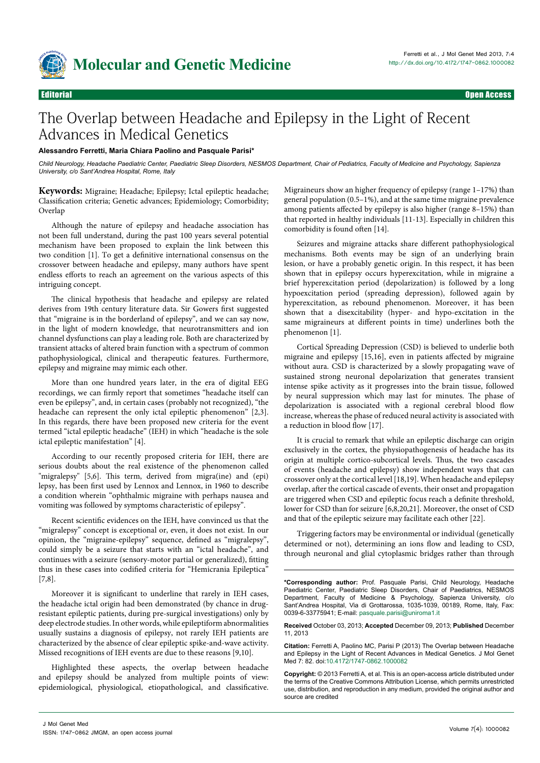

# The Overlap between Headache and Epilepsy in the Light of Recent Advances in Medical Genetics

# **Alessandro Ferretti, Maria Chiara Paolino and Pasquale Parisi\***

*Child Neurology, Headache Paediatric Center, Paediatric Sleep Disorders, NESMOS Department, Chair of Pediatrics, Faculty of Medicine and Psychology, Sapienza University, c/o Sant'Andrea Hospital, Rome, Italy*

**Keywords:** Migraine; Headache; Epilepsy; Ictal epileptic headache; Classification criteria; Genetic advances; Epidemiology; Comorbidity; Overlap

Although the nature of epilepsy and headache association has not been full understand, during the past 100 years several potential mechanism have been proposed to explain the link between this two condition [1]. To get a definitive international consensus on the crossover between headache and epilepsy, many authors have spent endless efforts to reach an agreement on the various aspects of this intriguing concept.

The clinical hypothesis that headache and epilepsy are related derives from 19th century literature data. Sir Gowers first suggested that "migraine is in the borderland of epilepsy", and we can say now, in the light of modern knowledge, that neurotransmitters and ion channel dysfunctions can play a leading role. Both are characterized by transient attacks of altered brain function with a spectrum of common pathophysiological, clinical and therapeutic features. Furthermore, epilepsy and migraine may mimic each other.

More than one hundred years later, in the era of digital EEG recordings, we can firmly report that sometimes "headache itself can even be epilepsy", and, in certain cases (probably not recognized), "the headache can represent the only ictal epileptic phenomenon" [2,3]. In this regards, there have been proposed new criteria for the event termed "ictal epileptic headache" (IEH) in which "headache is the sole ictal epileptic manifestation" [4].

According to our recently proposed criteria for IEH, there are serious doubts about the real existence of the phenomenon called "migralepsy" [5,6]. This term, derived from migra(ine) and (epi) lepsy, has been first used by Lennox and Lennox, in 1960 to describe a condition wherein "ophthalmic migraine with perhaps nausea and vomiting was followed by symptoms characteristic of epilepsy".

Recent scientific evidences on the IEH, have convinced us that the "migralepsy" concept is exceptional or, even, it does not exist. In our opinion, the "migraine-epilepsy" sequence, defined as "migralepsy", could simply be a seizure that starts with an "ictal headache", and continues with a seizure (sensory-motor partial or generalized), fitting thus in these cases into codified criteria for "Hemicrania Epileptica" [7,8].

Moreover it is significant to underline that rarely in IEH cases, the headache ictal origin had been demonstrated (by chance in drugresistant epileptic patients, during pre-surgical investigations) only by deep electrode studies. In other words, while epileptiform abnormalities usually sustains a diagnosis of epilepsy, not rarely IEH patients are characterized by the absence of clear epileptic spike-and-wave activity. Missed recognitions of IEH events are due to these reasons [9,10].

Highlighted these aspects, the overlap between headache and epilepsy should be analyzed from multiple points of view: epidemiological, physiological, etiopathological, and classificative.

Migraineurs show an higher frequency of epilepsy (range 1–17%) than general population (0.5–1%), and at the same time migraine prevalence among patients affected by epilepsy is also higher (range 8–15%) than that reported in healthy individuals [11-13]. Especially in children this comorbidity is found often [14].

Seizures and migraine attacks share different pathophysiological mechanisms. Both events may be sign of an underlying brain lesion, or have a probably genetic origin. In this respect, it has been shown that in epilepsy occurs hyperexcitation, while in migraine a brief hyperexcitation period (depolarization) is followed by a long hypoexcitation period (spreading depression), followed again by hyperexcitation, as rebound phenomenon. Moreover, it has been shown that a disexcitability (hyper- and hypo-excitation in the same migraineurs at different points in time) underlines both the phenomenon [1].

Cortical Spreading Depression (CSD) is believed to underlie both migraine and epilepsy [15,16], even in patients affected by migraine without aura. CSD is characterized by a slowly propagating wave of sustained strong neuronal depolarization that generates transient intense spike activity as it progresses into the brain tissue, followed by neural suppression which may last for minutes. The phase of depolarization is associated with a regional cerebral blood flow increase, whereas the phase of reduced neural activity is associated with a reduction in blood flow [17].

It is crucial to remark that while an epileptic discharge can origin exclusively in the cortex, the physiopathogenesis of headache has its origin at multiple cortico-subcortical levels. Thus, the two cascades of events (headache and epilepsy) show independent ways that can crossover only at the cortical level [18,19]. When headache and epilepsy overlap, after the cortical cascade of events, their onset and propagation are triggered when CSD and epileptic focus reach a definite threshold, lower for CSD than for seizure [6,8,20,21]. Moreover, the onset of CSD and that of the epileptic seizure may facilitate each other [22].

Triggering factors may be environmental or individual (genetically determined or not), determining an ions flow and leading to CSD, through neuronal and glial cytoplasmic bridges rather than through

**\*Corresponding author:** Prof. Pasquale Parisi, Child Neurology, Headache Paediatric Center, Paediatric Sleep Disorders, Chair of Paediatrics, NESMOS Department, Faculty of Medicine & Psychology, Sapienza University, c/o Sant'Andrea Hospital, Via di Grottarossa, 1035-1039, 00189, Rome, Italy, Fax: 0039-6-33775941; E-mail: pasquale.parisi@uniroma1.it

**Received** October 03, 2013; **Accepted** December 09, 2013; **Published** December 11, 2013

**Citation:** Ferretti A, Paolino MC, Parisi P (2013) The Overlap between Headache and Epilepsy in the Light of Recent Advances in Medical Genetics. J Mol Genet Med 7: 82. doi:[10.4172/1747-0862.1000082](http://dx.doi.org/10.4172/1747-0862.1000082)

**Copyright:** © 2013 Ferretti A, et al. This is an open-access article distributed under the terms of the Creative Commons Attribution License, which permits unrestricted use, distribution, and reproduction in any medium, provided the original author and source are credited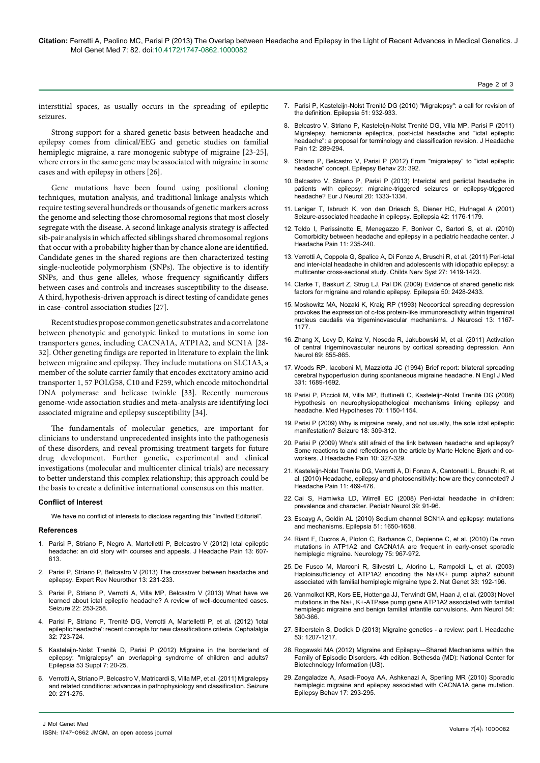Page 2 of 3

interstitial spaces, as usually occurs in the spreading of epileptic seizures.

Strong support for a shared genetic basis between headache and epilepsy comes from clinical/EEG and genetic studies on familial hemiplegic migraine, a rare monogenic subtype of migraine [23-25], where errors in the same gene may be associated with migraine in some cases and with epilepsy in others [26].

Gene mutations have been found using positional cloning techniques, mutation analysis, and traditional linkage analysis which require testing several hundreds or thousands of genetic markers across the genome and selecting those chromosomal regions that most closely segregate with the disease. A second linkage analysis strategy is affected sib-pair analysis in which affected siblings shared chromosomal regions that occur with a probability higher than by chance alone are identified. Candidate genes in the shared regions are then characterized testing single-nucleotide polymorphism (SNPs). The objective is to identify SNPs, and thus gene alleles, whose frequency significantly differs between cases and controls and increases susceptibility to the disease. A third, hypothesis-driven approach is direct testing of candidate genes in case–control association studies [27].

Recent studies propose common genetic substrates and a correlatone between phenotypic and genotypic linked to mutations in some ion transporters genes, including CACNA1A, ATP1A2, and SCN1A [28- 32]. Other geneting findigs are reported in literature to explain the link between migraine and epilepsy. They include mutations on SLC1A3, a member of the solute carrier family that encodes excitatory amino acid transporter 1, 57 POLG58, C10 and F259, which encode mitochondrial DNA polymerase and helicase twinkle [33]. Recently numerous genome-wide association studies and meta-analysis are identifying loci associated migraine and epilepsy susceptibility [34].

The fundamentals of molecular genetics, are important for clinicians to understand unprecedented insights into the pathogenesis of these disorders, and reveal promising treatment targets for future drug development. Further genetic, experimental and clinical investigations (molecular and multicenter clinical trials) are necessary to better understand this complex relationship; this approach could be the basis to create a definitive international consensus on this matter.

## **Conflict of Interest**

We have no conflict of interests to disclose regarding this "Invited Editorial".

#### **References**

- 1. [Parisi P, Striano P, Negro A, Martelletti P, Belcastro V \(2012\) Ictal epileptic](http://www.ncbi.nlm.nih.gov/pubmed/23015297) [headache: an old story with courses and appeals. J Headache Pain 13: 607-](http://www.ncbi.nlm.nih.gov/pubmed/23015297) [613.](http://www.ncbi.nlm.nih.gov/pubmed/23015297)
- 2. [Parisi P, Striano P, Belcastro V \(2013\) The crossover between headache and](http://www.ncbi.nlm.nih.gov/pubmed/23448210) [epilepsy. Expert Rev Neurother 13: 231-233.](http://www.ncbi.nlm.nih.gov/pubmed/23448210)
- 3. [Parisi P, Striano P, Verrotti A, Villa MP, Belcastro V \(2013\) What have we](http://www.ncbi.nlm.nih.gov/pubmed/23428422) [learned about ictal epileptic headache? A review of well-documented cases.](http://www.ncbi.nlm.nih.gov/pubmed/23428422) [Seizure 22: 253-258.](http://www.ncbi.nlm.nih.gov/pubmed/23428422)
- 4. [Parisi P, Striano P, Trenité DG, Verrotti A, Martelletti P, et al. \(2012\) 'Ictal](http://www.ncbi.nlm.nih.gov/pubmed/22623762) [epileptic headache': recent concepts for new classifications criteria. Cephalalgia](http://www.ncbi.nlm.nih.gov/pubmed/22623762) [32: 723-724.](http://www.ncbi.nlm.nih.gov/pubmed/22623762)
- 5. [Kasteleijn-Nolst Trenité D, Parisi P \(2012\) Migraine in the borderland of](http://www.ncbi.nlm.nih.gov/pubmed/23153206) [epilepsy: "migralepsy" an overlapping syndrome of children and adults?](http://www.ncbi.nlm.nih.gov/pubmed/23153206) [Epilepsia 53 Suppl 7: 20-25.](http://www.ncbi.nlm.nih.gov/pubmed/23153206)
- 6. [Verrotti A, Striano P, Belcastro V, Matricardi S, Villa MP, et al. \(2011\) Migralepsy](http://www.ncbi.nlm.nih.gov/pubmed/21429767) [and related conditions: advances in pathophysiology and classification. Seizure](http://www.ncbi.nlm.nih.gov/pubmed/21429767) [20: 271-275.](http://www.ncbi.nlm.nih.gov/pubmed/21429767)
- 7. [Parisi P, Kasteleijn-Nolst Trenité DG \(2010\) "Migralepsy": a call for revision of](http://www.ncbi.nlm.nih.gov/pubmed/20536529)  [the definition. Epilepsia 51: 932-933.](http://www.ncbi.nlm.nih.gov/pubmed/20536529)
- 8. [Belcastro V, Striano P, Kasteleijn-Nolst Trenité DG, Villa MP, Parisi P \(2011\)](http://www.ncbi.nlm.nih.gov/pubmed/21360158)  [Migralepsy, hemicrania epileptica, post-ictal headache and "ictal epileptic](http://www.ncbi.nlm.nih.gov/pubmed/21360158)  [headache": a proposal for terminology and classification revision. J Headache](http://www.ncbi.nlm.nih.gov/pubmed/21360158)  [Pain 12: 289-294.](http://www.ncbi.nlm.nih.gov/pubmed/21360158)
- 9. [Striano P, Belcastro V, Parisi P \(2012\) From "migralepsy" to "ictal epileptic](http://www.ncbi.nlm.nih.gov/pubmed/22341179)  [headache" concept. Epilepsy Behav 23: 392.](http://www.ncbi.nlm.nih.gov/pubmed/22341179)
- 10. [Belcastro V, Striano P, Parisi P \(2013\) Interictal and periictal headache in](http://www.ncbi.nlm.nih.gov/pubmed/23279739)  [patients with epilepsy: migraine-triggered seizures or epilepsy-triggered](http://www.ncbi.nlm.nih.gov/pubmed/23279739)  [headache? Eur J Neurol 20: 1333-1334.](http://www.ncbi.nlm.nih.gov/pubmed/23279739)
- 11. [Leniger T, Isbruch K, von den Driesch S, Diener HC, Hufnagel A \(2001\)](http://www.ncbi.nlm.nih.gov/pubmed/11580767)  [Seizure-associated headache in epilepsy. Epilepsia 42: 1176-1179.](http://www.ncbi.nlm.nih.gov/pubmed/11580767)
- 12. [Toldo I, Perissinotto E, Menegazzo F, Boniver C, Sartori S, et al. \(2010\)](http://www.ncbi.nlm.nih.gov/pubmed/20112041)  [Comorbidity between headache and epilepsy in a pediatric headache center. J](http://www.ncbi.nlm.nih.gov/pubmed/20112041)  [Headache Pain 11: 235-240.](http://www.ncbi.nlm.nih.gov/pubmed/20112041)
- 13. [Verrotti A, Coppola G, Spalice A, Di Fonzo A, Bruschi R, et al. \(2011\) Peri-ictal](http://www.ncbi.nlm.nih.gov/pubmed/21445630)  [and inter-ictal headache in children and adolescents with idiopathic epilepsy: a](http://www.ncbi.nlm.nih.gov/pubmed/21445630)  [multicenter cross-sectional study. Childs Nerv Syst 27: 1419-1423.](http://www.ncbi.nlm.nih.gov/pubmed/21445630)
- 14. [Clarke T, Baskurt Z, Strug LJ, Pal DK \(2009\) Evidence of shared genetic risk](http://www.ncbi.nlm.nih.gov/pubmed/19674062)  [factors for migraine and rolandic epilepsy. Epilepsia 50: 2428-2433.](http://www.ncbi.nlm.nih.gov/pubmed/19674062)
- 15. [Moskowitz MA, Nozaki K, Kraig RP \(1993\) Neocortical spreading depression](http://www.ncbi.nlm.nih.gov/pubmed/8382735)  [provokes the expression of c-fos protein-like immunoreactivity within trigeminal](http://www.ncbi.nlm.nih.gov/pubmed/8382735)  [nucleus caudalis via trigeminovascular mechanisms. J Neurosci 13: 1167-](http://www.ncbi.nlm.nih.gov/pubmed/8382735) [1177.](http://www.ncbi.nlm.nih.gov/pubmed/8382735)
- 16. [Zhang X, Levy D, Kainz V, Noseda R, Jakubowski M, et al. \(2011\) Activation](http://www.ncbi.nlm.nih.gov/pubmed/21416489)  [of central trigeminovascular neurons by cortical spreading depression. Ann](http://www.ncbi.nlm.nih.gov/pubmed/21416489)  [Neurol 69: 855-865.](http://www.ncbi.nlm.nih.gov/pubmed/21416489)
- 17. [Woods RP, Iacoboni M, Mazziotta JC \(1994\) Brief report: bilateral spreading](http://www.ncbi.nlm.nih.gov/pubmed/7969360)  [cerebral hypoperfusion during spontaneous migraine headache. N Engl J Med](http://www.ncbi.nlm.nih.gov/pubmed/7969360)  [331: 1689-1692.](http://www.ncbi.nlm.nih.gov/pubmed/7969360)
- 18. [Parisi P, Piccioli M, Villa MP, Buttinelli C, Kasteleijn-Nolst Trenité DG \(2008\)](http://www.ncbi.nlm.nih.gov/pubmed/18191908)  [Hypothesis on neurophysiopathological mechanisms linking epilepsy and](http://www.ncbi.nlm.nih.gov/pubmed/18191908)  [headache. Med Hypotheses 70: 1150-1154.](http://www.ncbi.nlm.nih.gov/pubmed/18191908)
- 19. [Parisi P \(2009\) Why is migraine rarely, and not usually, the sole ictal epileptic](http://www.ncbi.nlm.nih.gov/pubmed/19223208)  [manifestation? Seizure 18: 309-312.](http://www.ncbi.nlm.nih.gov/pubmed/19223208)
- 20. [Parisi P \(2009\) Who's still afraid of the link between headache and epilepsy?](http://www.ncbi.nlm.nih.gov/pubmed/19705058)  [Some reactions to and reflections on the article by Marte Helene Bjørk and co](http://www.ncbi.nlm.nih.gov/pubmed/19705058)[workers. J Headache Pain 10: 327-329.](http://www.ncbi.nlm.nih.gov/pubmed/19705058)
- 21. [Kasteleijn-Nolst Trenite DG, Verrotti A, Di Fonzo A, Cantonetti L, Bruschi R, et](http://www.ncbi.nlm.nih.gov/pubmed/20963464)  [al. \(2010\) Headache, epilepsy and photosensitivity: how are they connected? J](http://www.ncbi.nlm.nih.gov/pubmed/20963464)  [Headache Pain 11: 469-476.](http://www.ncbi.nlm.nih.gov/pubmed/20963464)
- 22. [Cai S, Hamiwka LD, Wirrell EC \(2008\) Peri-ictal headache in children:](http://www.ncbi.nlm.nih.gov/pubmed/18639751)  [prevalence and character. Pediatr Neurol 39: 91-96.](http://www.ncbi.nlm.nih.gov/pubmed/18639751)
- 23. [Escayg A, Goldin AL \(2010\) Sodium channel SCN1A and epilepsy: mutations](http://www.ncbi.nlm.nih.gov/pubmed/20831750)  [and mechanisms. Epilepsia 51: 1650-1658.](http://www.ncbi.nlm.nih.gov/pubmed/20831750)
- 24. [Riant F, Ducros A, Ploton C, Barbance C, Depienne C, et al. \(2010\) De novo](http://www.ncbi.nlm.nih.gov/pubmed/20837964)  [mutations in ATP1A2 and CACNA1A are frequent in early-onset sporadic](http://www.ncbi.nlm.nih.gov/pubmed/20837964)  [hemiplegic migraine. Neurology 75: 967-972.](http://www.ncbi.nlm.nih.gov/pubmed/20837964)
- 25. [De Fusco M, Marconi R, Silvestri L, Atorino L, Rampoldi L, et al. \(2003\)](http://www.ncbi.nlm.nih.gov/pubmed/12539047)  [Haploinsufficiency of ATP1A2 encoding the Na+/K+ pump alpha2 subunit](http://www.ncbi.nlm.nih.gov/pubmed/12539047)  [associated with familial hemiplegic migraine type 2. Nat Genet 33: 192-196.](http://www.ncbi.nlm.nih.gov/pubmed/12539047)
- 26. [Vanmolkot KR, Kors EE, Hottenga JJ, Terwindt GM, Haan J, et al. \(2003\) Novel](http://www.ncbi.nlm.nih.gov/pubmed/12953268)  [mutations in the Na+, K+-ATPase pump gene ATP1A2 associated with familial](http://www.ncbi.nlm.nih.gov/pubmed/12953268)  [hemiplegic migraine and benign familial infantile convulsions. Ann Neurol 54:](http://www.ncbi.nlm.nih.gov/pubmed/12953268)  [360-366.](http://www.ncbi.nlm.nih.gov/pubmed/12953268)
- 27. [Silberstein S, Dodick D \(2013\) Migraine genetics a review: part I. Headache](http://www.ncbi.nlm.nih.gov/pubmed/23848970)  [53: 1207-1217.](http://www.ncbi.nlm.nih.gov/pubmed/23848970)
- 28. [Rogawski MA \(2012\) Migraine and Epilepsy—Shared Mechanisms within the](http://www.ncbi.nlm.nih.gov/pubmed/22787613)  [Family of Episodic Disorders. 4th edition. Bethesda \(MD\): National Center for](http://www.ncbi.nlm.nih.gov/pubmed/22787613)  [Biotechnology Information \(US\).](http://www.ncbi.nlm.nih.gov/pubmed/22787613)
- 29. [Zangaladze A, Asadi-Pooya AA, Ashkenazi A, Sperling MR \(2010\) Sporadic](http://www.ncbi.nlm.nih.gov/pubmed/20071244)  [hemiplegic migraine and epilepsy associated with CACNA1A gene mutation.](http://www.ncbi.nlm.nih.gov/pubmed/20071244)  [Epilepsy Behav 17: 293-295.](http://www.ncbi.nlm.nih.gov/pubmed/20071244)